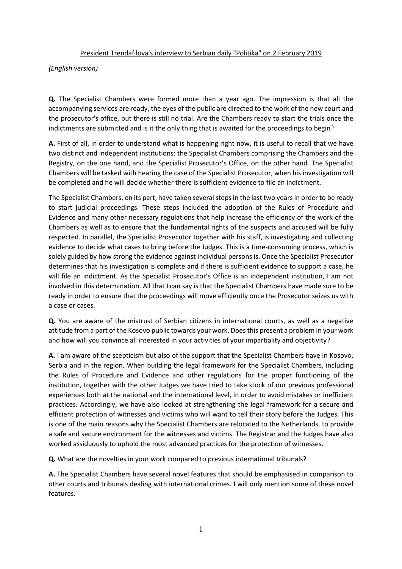## President Trendafilova's interview to Serbian daily "Politika" on 2 February 2019

*(English version)*

**Q.** The Specialist Chambers were formed more than a year ago. The impression is that all the accompanying services are ready, the eyes of the public are directed to the work of the new court and the prosecutor's office, but there is still no trial. Are the Chambers ready to start the trials once the indictments are submitted and is it the only thing that is awaited for the proceedings to begin?

**A.** First of all, in order to understand what is happening right now, it is useful to recall that we have two distinct and independent institutions: the Specialist Chambers comprising the Chambers and the Registry, on the one hand, and the Specialist Prosecutor's Office, on the other hand. The Specialist Chambers will be tasked with hearing the case of the Specialist Prosecutor, when his investigation will be completed and he will decide whether there is sufficient evidence to file an indictment.

The Specialist Chambers, on its part, have taken several steps in the last two years in order to be ready to start judicial proceedings. These steps included the adoption of the Rules of Procedure and Evidence and many other necessary regulations that help increase the efficiency of the work of the Chambers as well as to ensure that the fundamental rights of the suspects and accused will be fully respected. In parallel, the Specialist Prosecutor together with his staff, is investigating and collecting evidence to decide what cases to bring before the Judges. This is a time-consuming process, which is solely guided by how strong the evidence against individual persons is. Once the Specialist Prosecutor determines that his investigation is complete and if there is sufficient evidence to support a case, he will file an indictment. As the Specialist Prosecutor's Office is an independent institution, I am not involved in this determination. All that I can say is that the Specialist Chambers have made sure to be ready in order to ensure that the proceedings will move efficiently once the Prosecutor seizes us with a case or cases.

**Q.** You are aware of the mistrust of Serbian citizens in international courts, as well as a negative attitude from a part of the Kosovo public towards your work. Does this present a problem in your work and how will you convince all interested in your activities of your impartiality and objectivity?

**A.** I am aware of the scepticism but also of the support that the Specialist Chambers have in Kosovo, Serbia and in the region. When building the legal framework for the Specialist Chambers, including the Rules of Procedure and Evidence and other regulations for the proper functioning of the institution, together with the other Judges we have tried to take stock of our previous professional experiences both at the national and the international level, in order to avoid mistakes or inefficient practices. Accordingly, we have also looked at strengthening the legal framework for a secure and efficient protection of witnesses and victims who will want to tell their story before the Judges. This is one of the main reasons why the Specialist Chambers are relocated to the Netherlands, to provide a safe and secure environment for the witnesses and victims. The Registrar and the Judges have also worked assiduously to uphold the most advanced practices for the protection of witnesses.

**Q.** What are the novelties in your work compared to previous international tribunals?

**A.** The Specialist Chambers have several novel features that should be emphasised in comparison to other courts and tribunals dealing with international crimes. I will only mention some of these novel features.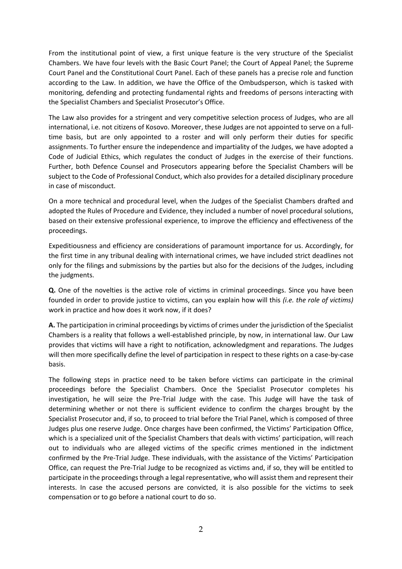From the institutional point of view, a first unique feature is the very structure of the Specialist Chambers. We have four levels with the Basic Court Panel; the Court of Appeal Panel; the Supreme Court Panel and the Constitutional Court Panel. Each of these panels has a precise role and function according to the Law. In addition, we have the Office of the Ombudsperson, which is tasked with monitoring, defending and protecting fundamental rights and freedoms of persons interacting with the Specialist Chambers and Specialist Prosecutor's Office.

The Law also provides for a stringent and very competitive selection process of Judges, who are all international, i.e. not citizens of Kosovo. Moreover, these Judges are not appointed to serve on a fulltime basis, but are only appointed to a roster and will only perform their duties for specific assignments. To further ensure the independence and impartiality of the Judges, we have adopted a Code of Judicial Ethics, which regulates the conduct of Judges in the exercise of their functions. Further, both Defence Counsel and Prosecutors appearing before the Specialist Chambers will be subject to the Code of Professional Conduct, which also provides for a detailed disciplinary procedure in case of misconduct.

On a more technical and procedural level, when the Judges of the Specialist Chambers drafted and adopted the Rules of Procedure and Evidence, they included a number of novel procedural solutions, based on their extensive professional experience, to improve the efficiency and effectiveness of the proceedings.

Expeditiousness and efficiency are considerations of paramount importance for us. Accordingly, for the first time in any tribunal dealing with international crimes, we have included strict deadlines not only for the filings and submissions by the parties but also for the decisions of the Judges, including the judgments.

**Q.** One of the novelties is the active role of victims in criminal proceedings. Since you have been founded in order to provide justice to victims, can you explain how will this *(i.e. the role of victims)* work in practice and how does it work now, if it does?

**A.** The participation in criminal proceedings by victims of crimes under the jurisdiction of the Specialist Chambers is a reality that follows a well-established principle, by now, in international law. Our Law provides that victims will have a right to notification, acknowledgment and reparations. The Judges will then more specifically define the level of participation in respect to these rights on a case-by-case basis.

The following steps in practice need to be taken before victims can participate in the criminal proceedings before the Specialist Chambers. Once the Specialist Prosecutor completes his investigation, he will seize the Pre-Trial Judge with the case. This Judge will have the task of determining whether or not there is sufficient evidence to confirm the charges brought by the Specialist Prosecutor and, if so, to proceed to trial before the Trial Panel, which is composed of three Judges plus one reserve Judge. Once charges have been confirmed, the Victims' Participation Office, which is a specialized unit of the Specialist Chambers that deals with victims' participation, will reach out to individuals who are alleged victims of the specific crimes mentioned in the indictment confirmed by the Pre-Trial Judge. These individuals, with the assistance of the Victims' Participation Office, can request the Pre-Trial Judge to be recognized as victims and, if so, they will be entitled to participate in the proceedings through a legal representative, who will assist them and represent their interests. In case the accused persons are convicted, it is also possible for the victims to seek compensation or to go before a national court to do so.